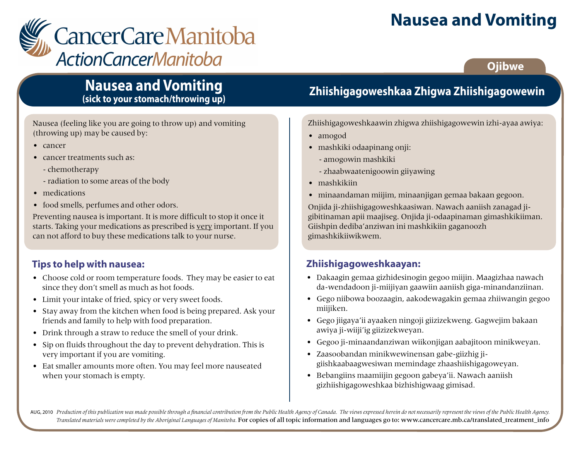# **Nausea and Vomiting**



### **Ojibwe**

### **Nausea and Vomiting (sick to your stomach/throwing up)**

Nausea (feeling like you are going to throw up) and vomiting (throwing up) may be caused by:

- cancer
- cancer treatments such as:
	- chemotherapy
	- radiation to some areas of the body
- medications
- food smells, perfumes and other odors.

Preventing nausea is important. It is more difficult to stop it once it starts. Taking your medications as prescribed is very important. If you can not afford to buy these medications talk to your nurse.

### **Tips to help with nausea:**

- Choose cold or room temperature foods. They may be easier to eat since they don't smell as much as hot foods.
- Limit your intake of fried, spicy or very sweet foods.
- Stay away from the kitchen when food is being prepared. Ask your friends and family to help with food preparation.
- Drink through a straw to reduce the smell of your drink.
- Sip on fluids throughout the day to prevent dehydration. This is very important if you are vomiting.
- Eat smaller amounts more often. You may feel more nauseated when your stomach is empty.

# **Zhiishigagoweshkaa Zhigwa Zhiishigagowewin**

Zhiishigagoweshkaawin zhigwa zhiishigagowewin izhi-ayaa awiya:

- amogod
- mashkiki odaapinang onji:
	- amogowin mashkiki
	- zhaabwaatenigoowin giiyawing
- mashkikiin
- minaandaman miijim, minaanjigan gemaa bakaan gegoon.

Onjida ji-zhiishigagoweshkaasiwan. Nawach aaniish zanagad jigibitinaman apii maajiseg. Onjida ji-odaapinaman gimashkikiiman. Giishpin dediba'anziwan ini mashkikiin gaganoozh gimashkikiiwikwem.

#### **Zhiishigagoweshkaayan:**

- Dakaagin gemaa gizhidesinogin gegoo miijin. Maagizhaa nawach da-wendadoon ji-miijiyan gaawiin aaniish giga-minandanziinan.
- Gego niibowa boozaagin, aakodewagakin gemaa zhiiwangin gegoo miijiken.
- Gego jiigaya'ii ayaaken ningoji giizizekweng. Gagwejim bakaan awiya ji-wiiji'ig giizizekweyan.
- Gegoo ji-minaandanziwan wiikonjigan aabajitoon minikweyan.
- Zaasoobandan minikwewinensan gabe-giizhig jigiishkaabaagwesiwan memindage zhaashiishigagoweyan.
- Bebangiins maamiijin gegoon gabeya'ii. Nawach aaniish gizhiishigagoweshkaa bizhishigwaag gimisad.

AUG, 2010 Production of this publication was made possible through a financial contribution from the Public Health Agency of Canada. The views expressed herein do not necessarily represent the views of the Public Health Ag *Translated materials were completed by the Aboriginal Languages of Manitoba.* For copies of all topic information and languages go to: www.cancercare.mb.ca/translated\_treatment\_info